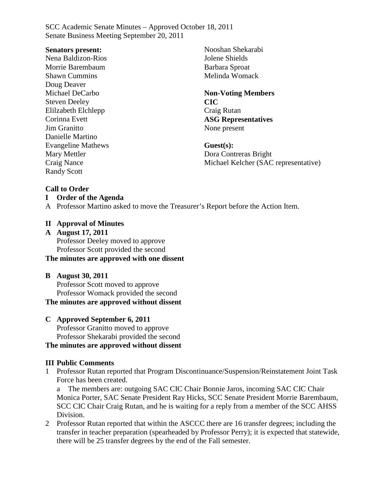#### **Senators present:**

Nena Baldizon-Rios Morrie Barembaum Shawn Cummins Doug Deaver Michael DeCarbo Steven Deeley Elilzabeth Elchlepp Corinna Evett Jim Granitto Danielle Martino Evangeline Mathews Mary Mettler Craig Nance Randy Scott

Nooshan Shekarabi Jolene Shields Barbara Sproat Melinda Womack

## **Non-Voting Members CIC** Craig Rutan **ASG Representatives** None present

**Guest(s):** Dora Contreras Bright Michael Kelcher (SAC representative)

## **Call to Order**

## **I Order of the Agenda**

A Professor Martino asked to move the Treasurer's Report before the Action Item.

## **II Approval of Minutes**

**A August 17, 2011** Professor Deeley moved to approve Professor Scott provided the second

## **The minutes are approved with one dissent**

## **B August 30, 2011**

Professor Scott moved to approve Professor Womack provided the second **The minutes are approved without dissent**

## **C Approved September 6, 2011**

Professor Granitto moved to approve Professor Shekarabi provided the second

## **The minutes are approved without dissent**

## **III Public Comments**

1 Professor Rutan reported that Program Discontinuance/Suspension/Reinstatement Joint Task Force has been created.

a The members are: outgoing SAC CIC Chair Bonnie Jaros, incoming SAC CIC Chair Monica Porter, SAC Senate President Ray Hicks, SCC Senate President Morrie Barembaum, SCC CIC Chair Craig Rutan, and he is waiting for a reply from a member of the SCC AHSS Division.

2 Professor Rutan reported that within the ASCCC there are 16 transfer degrees; including the transfer in teacher preparation (spearheaded by Professor Perry); it is expected that statewide, there will be 25 transfer degrees by the end of the Fall semester.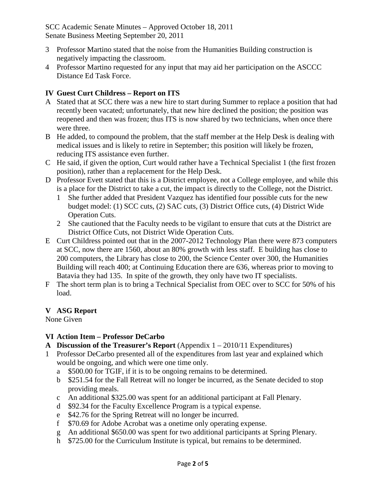- 3 Professor Martino stated that the noise from the Humanities Building construction is negatively impacting the classroom.
- 4 Professor Martino requested for any input that may aid her participation on the ASCCC Distance Ed Task Force.

## **IV Guest Curt Childress – Report on ITS**

- A Stated that at SCC there was a new hire to start during Summer to replace a position that had recently been vacated; unfortunately, that new hire declined the position; the position was reopened and then was frozen; thus ITS is now shared by two technicians, when once there were three.
- B He added, to compound the problem, that the staff member at the Help Desk is dealing with medical issues and is likely to retire in September; this position will likely be frozen, reducing ITS assistance even further.
- C He said, if given the option, Curt would rather have a Technical Specialist 1 (the first frozen position), rather than a replacement for the Help Desk.
- D Professor Evett stated that this is a District employee, not a College employee, and while this is a place for the District to take a cut, the impact is directly to the College, not the District.
	- 1 She further added that President Vazquez has identified four possible cuts for the new budget model: (1) SCC cuts, (2) SAC cuts, (3) District Office cuts, (4) District Wide Operation Cuts.
	- 2 She cautioned that the Faculty needs to be vigilant to ensure that cuts at the District are District Office Cuts, not District Wide Operation Cuts.
- E Curt Childress pointed out that in the 2007-2012 Technology Plan there were 873 computers at SCC, now there are 1560, about an 80% growth with less staff. E building has close to 200 computers, the Library has close to 200, the Science Center over 300, the Humanities Building will reach 400; at Continuing Education there are 636, whereas prior to moving to Batavia they had 135. In spite of the growth, they only have two IT specialists.
- F The short term plan is to bring a Technical Specialist from OEC over to SCC for 50% of his load.

## **V ASG Report**

None Given

## **VI Action Item – Professor DeCarbo**

- **A Discussion of the Treasurer's Report** (Appendix 1 2010/11 Expenditures)
- 1 Professor DeCarbo presented all of the expenditures from last year and explained which would be ongoing, and which were one time only.
	- a \$500.00 for TGIF, if it is to be ongoing remains to be determined.
	- b \$251.54 for the Fall Retreat will no longer be incurred, as the Senate decided to stop providing meals.
	- c An additional \$325.00 was spent for an additional participant at Fall Plenary.
	- d \$92.34 for the Faculty Excellence Program is a typical expense.
	- e \$42.76 for the Spring Retreat will no longer be incurred.
	- f \$70.69 for Adobe Acrobat was a onetime only operating expense.
	- g An additional \$650.00 was spent for two additional participants at Spring Plenary.
	- h \$725.00 for the Curriculum Institute is typical, but remains to be determined.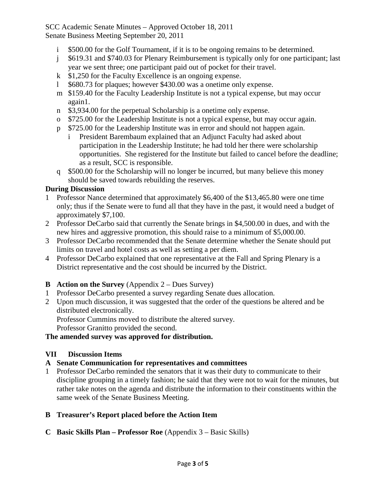- \$500.00 for the Golf Tournament, if it is to be ongoing remains to be determined.
- j \$619.31 and \$740.03 for Plenary Reimbursement is typically only for one participant; last year we sent three; one participant paid out of pocket for their travel.
- k \$1,250 for the Faculty Excellence is an ongoing expense.
- l \$680.73 for plaques; however \$430.00 was a onetime only expense.
- m \$159.40 for the Faculty Leadership Institute is not a typical expense, but may occur again1.
- n \$3,934.00 for the perpetual Scholarship is a onetime only expense.
- o \$725.00 for the Leadership Institute is not a typical expense, but may occur again.
- p \$725.00 for the Leadership Institute was in error and should not happen again.
	- i President Barembaum explained that an Adjunct Faculty had asked about participation in the Leadership Institute; he had told her there were scholarship opportunities. She registered for the Institute but failed to cancel before the deadline; as a result, SCC is responsible.
- q \$500.00 for the Scholarship will no longer be incurred, but many believe this money should be saved towards rebuilding the reserves.

## **During Discussion**

- 1 Professor Nance determined that approximately \$6,400 of the \$13,465.80 were one time only; thus if the Senate were to fund all that they have in the past, it would need a budget of approximately \$7,100.
- 2 Professor DeCarbo said that currently the Senate brings in \$4,500.00 in dues, and with the new hires and aggressive promotion, this should raise to a minimum of \$5,000.00.
- 3 Professor DeCarbo recommended that the Senate determine whether the Senate should put limits on travel and hotel costs as well as setting a per diem.
- 4 Professor DeCarbo explained that one representative at the Fall and Spring Plenary is a District representative and the cost should be incurred by the District.

## **B Action on the Survey** (Appendix  $2 - \text{Dues Survey}$ )

- 1 Professor DeCarbo presented a survey regarding Senate dues allocation.
- 2 Upon much discussion, it was suggested that the order of the questions be altered and be distributed electronically.

Professor Cummins moved to distribute the altered survey.

Professor Granitto provided the second.

## **The amended survey was approved for distribution.**

## **VII Discussion Items**

## **A Senate Communication for representatives and committees**

1 Professor DeCarbo reminded the senators that it was their duty to communicate to their discipline grouping in a timely fashion; he said that they were not to wait for the minutes, but rather take notes on the agenda and distribute the information to their constituents within the same week of the Senate Business Meeting.

## **B Treasurer's Report placed before the Action Item**

**C Basic Skills Plan – Professor Roe** (Appendix 3 – Basic Skills)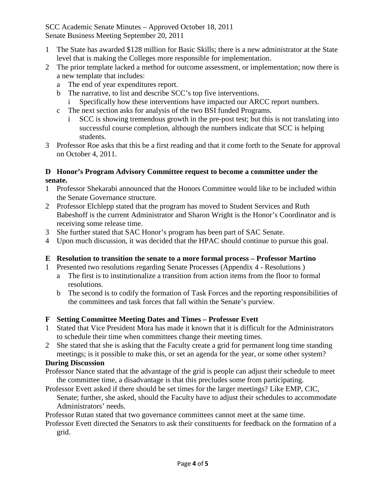- 1 The State has awarded \$128 million for Basic Skills; there is a new administrator at the State level that is making the Colleges more responsible for implementation.
- 2 The prior template lacked a method for outcome assessment, or implementation; now there is a new template that includes:
	- a The end of year expenditures report.
	- b The narrative, to list and describe SCC's top five interventions.
		- Specifically how these interventions have impacted our ARCC report numbers.
	- c The next section asks for analysis of the two BSI funded Programs.
		- i SCC is showing tremendous growth in the pre-post test; but this is not translating into successful course completion, although the numbers indicate that SCC is helping students.
- 3 Professor Roe asks that this be a first reading and that it come forth to the Senate for approval on October 4, 2011.

## **D Honor's Program Advisory Committee request to become a committee under the senate.**

- 1 Professor Shekarabi announced that the Honors Committee would like to be included within the Senate Governance structure.
- 2 Professor Elchlepp stated that the program has moved to Student Services and Ruth Babeshoff is the current Administrator and Sharon Wright is the Honor's Coordinator and is receiving some release time.
- 3 She further stated that SAC Honor's program has been part of SAC Senate.
- 4 Upon much discussion, it was decided that the HPAC should continue to pursue this goal.

## **E Resolution to transition the senate to a more formal process – Professor Martino**

- 1 Presented two resolutions regarding Senate Processes (Appendix 4 Resolutions )
	- a The first is to institutionalize a transition from action items from the floor to formal resolutions.
	- b The second is to codify the formation of Task Forces and the reporting responsibilities of the committees and task forces that fall within the Senate's purview.

## **F Setting Committee Meeting Dates and Times – Professor Evett**

- 1 Stated that Vice President Mora has made it known that it is difficult for the Administrators to schedule their time when committees change their meeting times.
- 2 She stated that she is asking that the Faculty create a grid for permanent long time standing meetings; is it possible to make this, or set an agenda for the year, or some other system?

## **During Discussion**

- Professor Nance stated that the advantage of the grid is people can adjust their schedule to meet the committee time, a disadvantage is that this precludes some from participating.
- Professor Evett asked if there should be set times for the larger meetings? Like EMP, CIC, Senate; further, she asked, should the Faculty have to adjust their schedules to accommodate Administrators' needs.

Professor Rutan stated that two governance committees cannot meet at the same time.

Professor Evett directed the Senators to ask their constituents for feedback on the formation of a grid.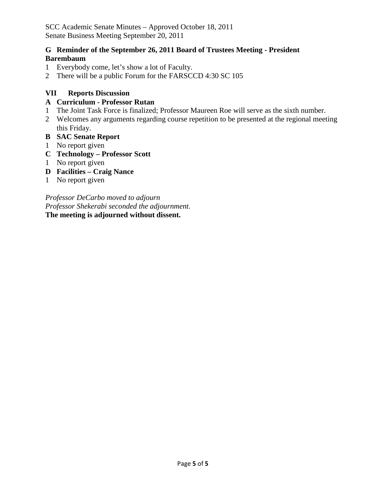## **G Reminder of the September 26, 2011 Board of Trustees Meeting - President Barembaum**

- 1 Everybody come, let's show a lot of Faculty.
- 2 There will be a public Forum for the FARSCCD 4:30 SC 105

## **VII Reports Discussion**

## **A Curriculum - Professor Rutan**

- 1 The Joint Task Force is finalized; Professor Maureen Roe will serve as the sixth number.
- 2 Welcomes any arguments regarding course repetition to be presented at the regional meeting this Friday.
- **B SAC Senate Report**
- 1 No report given
- **C Technology – Professor Scott**
- 1 No report given
- **D Facilities – Craig Nance**
- 1 No report given

*Professor DeCarbo moved to adjourn Professor Shekerabi seconded the adjournment.* **The meeting is adjourned without dissent.**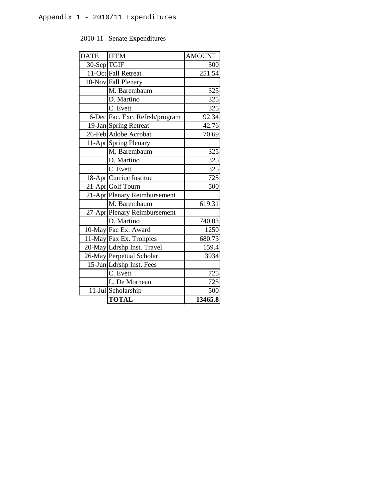## 2010-11 Senate Expenditures

| <b>DATE</b> | <b>ITEM</b>                    | <b>AMOUNT</b> |
|-------------|--------------------------------|---------------|
| 30-Sep TGIF |                                | 500           |
|             | 11-Oct Fall Retreat            | 251.54        |
|             | 10-Nov Fall Plenary            |               |
|             | M. Barembaum                   | 325           |
|             | D. Martino                     | 325           |
|             | C. Evett                       | 325           |
|             | 6-Dec Fac. Exc. Refrsh/program | 92.34         |
|             | 19-Jan Spring Retreat          | 42.76         |
|             | 26-Feb Adobe Acrobat           | 70.69         |
|             | 11-Apr Spring Plenary          |               |
|             | M. Barembaum                   | 325           |
|             | D. Martino                     | 325           |
|             | C. Evett                       | 325           |
|             | 18-Apr Curriuc Institue        | 725           |
|             | 21-Apr Golf Tourn              | 500           |
|             | 21-Apr Plenary Reimbursement   |               |
|             | M. Barembaum                   | 619.31        |
|             | 27-Apr Plenary Reimbursement   |               |
|             | D. Martino                     | 740.03        |
|             | 10-May Fac Ex. Award           | 1250          |
|             | 11-May Fax Ex. Trohpies        | 680.73        |
|             | 20-May Ldrshp Inst. Travel     | 159.4         |
|             | 26-May Perpetual Scholar.      | 3934          |
|             | 15-Jun Ldrshp Inst. Fees       |               |
|             | $\overline{C}$ . Evett         | 725           |
|             | L. De Morneau                  | 725           |
|             | 11-Jul Scholarship             | 500           |
|             | <b>TOTAL</b>                   | 13465.8       |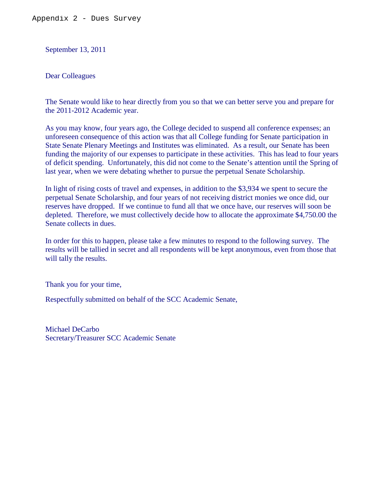September 13, 2011

Dear Colleagues

The Senate would like to hear directly from you so that we can better serve you and prepare for the 2011-2012 Academic year.

As you may know, four years ago, the College decided to suspend all conference expenses; an unforeseen consequence of this action was that all College funding for Senate participation in State Senate Plenary Meetings and Institutes was eliminated. As a result, our Senate has been funding the majority of our expenses to participate in these activities. This has lead to four years of deficit spending. Unfortunately, this did not come to the Senate's attention until the Spring of last year, when we were debating whether to pursue the perpetual Senate Scholarship.

In light of rising costs of travel and expenses, in addition to the \$3,934 we spent to secure the perpetual Senate Scholarship, and four years of not receiving district monies we once did, our reserves have dropped. If we continue to fund all that we once have, our reserves will soon be depleted. Therefore, we must collectively decide how to allocate the approximate \$4,750.00 the Senate collects in dues.

In order for this to happen, please take a few minutes to respond to the following survey. The results will be tallied in secret and all respondents will be kept anonymous, even from those that will tally the results.

Thank you for your time,

Respectfully submitted on behalf of the SCC Academic Senate,

Michael DeCarbo Secretary/Treasurer SCC Academic Senate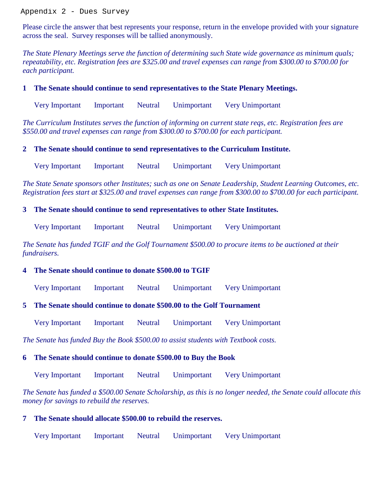Appendix 2 - Dues Survey

Please circle the answer that best represents your response, return in the envelope provided with your signature across the seal. Survey responses will be tallied anonymously.

*The State Plenary Meetings serve the function of determining such State wide governance as minimum quals; repeatability, etc. Registration fees are \$325.00 and travel expenses can range from \$300.00 to \$700.00 for each participant.*

#### **1 The Senate should continue to send representatives to the State Plenary Meetings.**

Very Important Important Neutral Unimportant Very Unimportant

*The Curriculum Institutes serves the function of informing on current state reqs, etc. Registration fees are \$550.00 and travel expenses can range from \$300.00 to \$700.00 for each participant.*

#### **2 The Senate should continue to send representatives to the Curriculum Institute.**

Very Important Important Neutral Unimportant Very Unimportant

*The State Senate sponsors other Institutes; such as one on Senate Leadership, Student Learning Outcomes, etc. Registration fees start at \$325.00 and travel expenses can range from \$300.00 to \$700.00 for each participant.*

#### **3 The Senate should continue to send representatives to other State Institutes.**

Very Important Important Neutral Unimportant Very Unimportant

*The Senate has funded TGIF and the Golf Tournament \$500.00 to procure items to be auctioned at their fundraisers.* 

## **4 The Senate should continue to donate \$500.00 to TGIF**

Very Important Important Neutral Unimportant Very Unimportant

## **5 The Senate should continue to donate \$500.00 to the Golf Tournament**

Very Important Important Neutral Unimportant Very Unimportant

*The Senate has funded Buy the Book \$500.00 to assist students with Textbook costs.*

#### **6 The Senate should continue to donate \$500.00 to Buy the Book**

Very Important Important Neutral Unimportant Very Unimportant

*The Senate has funded a \$500.00 Senate Scholarship, as this is no longer needed, the Senate could allocate this money for savings to rebuild the reserves.*

#### **7 The Senate should allocate \$500.00 to rebuild the reserves.**

Very Important Important Neutral Unimportant Very Unimportant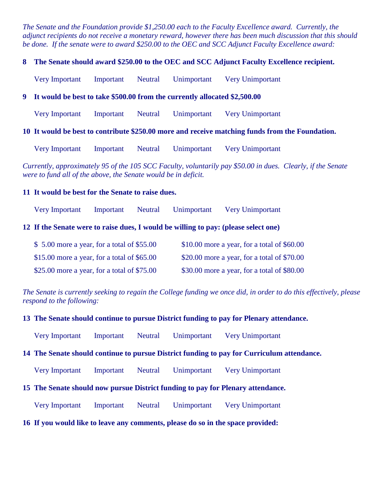*The Senate and the Foundation provide \$1,250.00 each to the Faculty Excellence award. Currently, the adjunct recipients do not receive a monetary reward, however there has been much discussion that this should be done. If the senate were to award \$250.00 to the OEC and SCC Adjunct Faculty Excellence award:*

#### **8 The Senate should award \$250.00 to the OEC and SCC Adjunct Faculty Excellence recipient.**

Very Important Important Neutral Unimportant Very Unimportant

#### **9 It would be best to take \$500.00 from the currently allocated \$2,500.00**

Very Important Important Neutral Unimportant Very Unimportant

#### **10 It would be best to contribute \$250.00 more and receive matching funds from the Foundation.**

Very Important Important Neutral Unimportant Very Unimportant

*Currently, approximately 95 of the 105 SCC Faculty, voluntarily pay \$50.00 in dues. Clearly, if the Senate were to fund all of the above, the Senate would be in deficit.*

#### **11 It would be best for the Senate to raise dues.**

Very Important Important Neutral Unimportant Very Unimportant

#### **12 If the Senate were to raise dues, I would be willing to pay: (please select one)**

| $$5.00$ more a year, for a total of \$55.00   | $$10.00$ more a year, for a total of $$60.00$ |
|-----------------------------------------------|-----------------------------------------------|
| $$15.00$ more a year, for a total of $$65.00$ | \$20.00 more a year, for a total of $$70.00$  |
| \$25.00 more a year, for a total of $$75.00$  | \$30.00 more a year, for a total of \$80.00   |

*The Senate is currently seeking to regain the College funding we once did, in order to do this effectively, please respond to the following:*

#### **13 The Senate should continue to pursue District funding to pay for Plenary attendance.**

Very Important Important Neutral Unimportant Very Unimportant

#### **14 The Senate should continue to pursue District funding to pay for Curriculum attendance.**

Very Important Important Neutral Unimportant Very Unimportant

#### **15 The Senate should now pursue District funding to pay for Plenary attendance.**

Very Important Important Neutral Unimportant Very Unimportant

### **16 If you would like to leave any comments, please do so in the space provided:**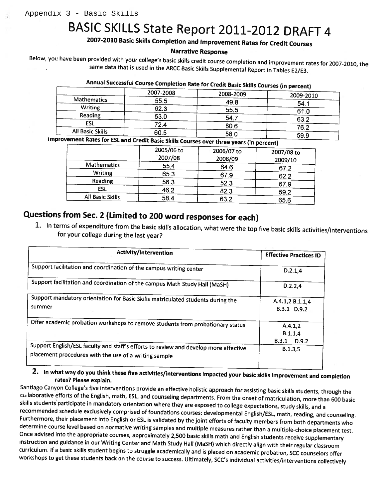# BASIC SKILLS State Report 2011-2012 DRAFT 4

## 2007-2010 Basic Skills Completion and Improvement Rates for Credit Courses

#### **Narrative Response**

Below, you have been provided with your college's basic skills credit course completion and improvement rates for 2007-2010, the same data that is used in the ARCC Basic Skills Supplemental Report in Tables E2/E3.

|                  | 2007-2008 | 2008-2009 | 2009-2010 |
|------------------|-----------|-----------|-----------|
| Mathematics      | 55.5      | 49.8      | 54.1      |
| <b>Writing</b>   | 62.3      | 55.5      | 61.0      |
| Reading          | 53.0      | 54.7      | 63.2      |
| ESL              | 72.4      | 80.6      |           |
| All Basic Skills | 60.5      | 58.0      | 76.2      |
|                  |           |           | 59.9      |

Annual Successful Course Completion Rate for Credit Basic Skills Courses (in nercont)

Improvement Rates for ESL and Credit Basic Skills Courses over three years (in percent)

|                  | 2005/06 to<br>2007/08 | 2006/07 to<br>2008/09 | 2007/08 to<br>2009/10 |  |
|------------------|-----------------------|-----------------------|-----------------------|--|
| Mathematics      | 55.4                  | 64.6                  | 67.2                  |  |
| <b>Writing</b>   | 65.3                  | 67.9                  | 62.2                  |  |
| Reading          | 56.3                  | 52.3                  | 67.9                  |  |
| ESL              | 46.2                  | 82.3                  | 59.2                  |  |
| All Basic Skills | 58.4                  | 63.2                  | 65.6                  |  |

## Questions from Sec. 2 (Limited to 200 word responses for each)

1. In terms of expenditure from the basic skills allocation, what were the top five basic skills activities/interventions for your college during the last year?

| Activity/Intervention                                                                                                                         | <b>Effective Practices ID</b>            |
|-----------------------------------------------------------------------------------------------------------------------------------------------|------------------------------------------|
| Support racilitation and coordination of the campus writing center                                                                            | D.2.1.4                                  |
| Support facilitation and coordination of the campus Math Study Hall (MaSH)                                                                    | D.2.2,4                                  |
| Support mandatory orientation for Basic Skills matriculated students during the<br>summer                                                     | A.4.1,2 B.1.1,4<br>B.3.1 D.9.2           |
| Offer academic probation workshops to remove students from probationary status                                                                | A.4.1,2<br>B.1.1,4<br>$B.3.1\quad D.9.2$ |
| Support English/ESL faculty and staff's efforts to review and develop more effective<br>placement procedures with the use of a writing sample | B.1.3.5                                  |

2. In what way do you think these five activities/interventions impacted your basic skills improvement and completion rates? Please explain.

Santiago Canyon College's five interventions provide an effective holistic approach for assisting basic skills students, through the collaborative efforts of the English, math, ESL, and counseling departments. From the onset of matriculation, more than 600 basic skills students participate in mandatory orientation where they are exposed to college expectations, study skills, and a recommended schedule exclusively comprised of foundations courses: developmental English/ESL, math, reading, and counseling. Furthermore, their placement into English or ESL is validated by the joint efforts of faculty members from both departments who determine course level based on normative writing samples and multiple measures rather than a multiple-choice placement test. Once advised into the appropriate courses, approximately 2,500 basic skills math and English students receive supplementary instruction and guidance in our Writing Center and Math Study Hall (MaSH) which directly align with their regular classroom curriculum. If a basic skills student begins to struggle academically and is placed on academic probation, SCC counselors offer workshops to get these students back on the course to success. Ultimately, SCC's individual activities/interventions collectively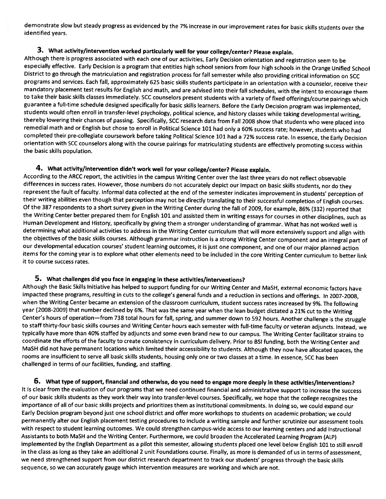demonstrate slow but steady progress as evidenced by the 7% increase in our improvement rates for basic skills students over the identified years.

#### 3. What activity/intervention worked particularly well for your college/center? Please explain.

Although there is progress associated with each one of our activities, Early Decision orientation and registration seem to be especially effective. Early Decision is a program that entitles high school seniors from four high schools in the Orange Unified School District to go through the matriculation and registration process for fall semester while also providing critical information on SCC programs and services. Each fall, approximately 625 basic skills students participate in an orientation with a counselor, receive their mandatory placement test results for English and math, and are advised into their fall schedules, with the intent to encourage them to take their basic skills classes immediately. SCC counselors present students with a variety of fixed offerings/course pairings which guarantee a full-time schedule designed specifically for basic skills learners. Before the Early Decision program was implemented, students would often enroll in transfer-level psychology, political science, and history classes while taking developmental writing, thereby lowering their chances of passing. Specifically, SCC research data from Fall 2008 show that students who were placed into remedial math and or English but chose to enroll in Political Science 101 had only a 60% success rate; however, students who had completed their pre-collegiate coursework before taking Political Science 101 had a 72% success rate. In essence, the Early Decision orientation with SCC counselors along with the course pairings for matriculating students are effectively promoting success within the basic skills population.

#### 4. What activity/intervention didn't work well for your college/center? Please explain.

According to the ARCC report, the activities in the campus Writing Center over the last three years do not reflect observable differences in success rates. However, those numbers do not accurately depict our impact on basic skills students, nor do they represent the fault of faculty. Informal data collected at the end of the semester indicates improvement in students' perception of their writing abilities even though that perception may not be directly translating to their successful completion of English courses. Of the 387 respondents to a short survey given in the Writing Center during the fall of 2009, for example, 86% (332) reported that the Writing Center better prepared them for English 101 and assisted them in writing essays for courses in other disciplines, such as Human Development and History, specifically by giving them a stronger understanding of grammar. What has not worked well is determining what additional activities to address in the Writing Center curriculum that will more extensively support and align with the objectives of the basic skills courses. Although grammar instruction is a strong Writing Center component and an integral part of our developmental education courses' student learning outcomes, it is just one component, and one of our major planned action items for the coming year is to explore what other elements need to be included in the core Writing Center curriculum to better link it to course success rates.

#### 5. What challenges did you face in engaging in these activities/interventions?

Although the Basic Skills Initiative has helped to support funding for our Writing Center and MaSH, external economic factors have impacted these programs, resulting in cuts to the college's general funds and a reduction in sections and offerings. In 2007-2008, when the Writing Center became an extension of the classroom curriculum, student success rates increased by 9%. The following year (2008-2009) that number declined by 6%. That was the same year when the lean budget dictated a 21% cut to the Writing Center's hours of operation-from 738 total hours for fall, spring, and summer down to 592 hours. Another challenge is the struggle to staff thirty-four basic skills courses and Writing Center hours each semester with full-time faculty or veteran adjuncts. Instead, we typically have more than 40% staffed by adjuncts and some even brand new to our campus. The Writing Center facilitator strains to coordinate the efforts of the faculty to create consistency in curriculum delivery. Prior to BSI funding, both the Writing Center and MaSH did not have permanent locations which limited their accessibility to students. Although they now have allocated spaces, the rooms are insufficient to serve all basic skills students, housing only one or two classes at a time. In essence, SCC has been challenged in terms of our facilities, funding, and staffing.

6. What type of support, financial and otherwise, do you need to engage more deeply in these activities/interventions? It is clear from the evaluation of our programs that we need continued financial and administrative support to increase the success of our basic skills students as they work their way into transfer-level courses. Specifically, we hope that the college recognizes the importance of all of our basic skills projects and prioritizes them as institutional commitments. In doing so, we could expand our Early Decision program beyond just one school district and offer more workshops to students on academic probation; we could permanently alter our English placement testing procedures to include a writing sample and further scrutinize our assessment tools. with respect to student learning outcomes. We could strengthen campus-wide access to our learning centers and add Instructional Assistants to both MaSH and the Writing Center. Furthermore, we could broaden the Accelerated Learning Program (ALP) implemented by the English Department as a pilot this semester, allowing students placed one level below English 101 to still enroll in the class as long as they take an additional 2 unit Foundations course. Finally, as more is demanded of us in terms of assessment, we need strengthened support from our district research department to track our students' progress through the basic skills sequence, so we can accurately gauge which intervention measures are working and which are not.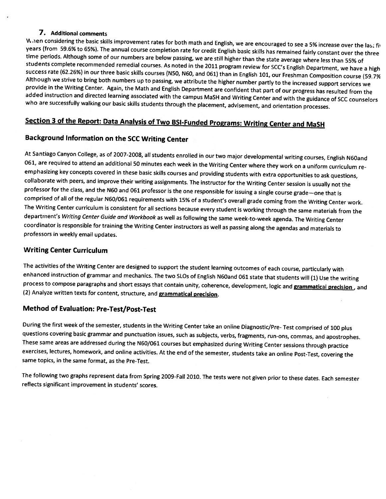#### 7. Additional comments

When considering the basic skills improvement rates for both math and English, we are encouraged to see a 5% increase over the last fiv years (from 59.6% to 65%). The annual course completion rate for credit English basic skills has remained fairly constant over the three time periods. Although some of our numbers are below passing, we are still higher than the state average where less than 55% of students complete recommended remedial courses. As noted in the 2011 program review for SCC's English Department, we have a high success rate (62.26%) in our three basic skills courses (N50, N60, and 061) than in English 101, our Freshman Composition course (59.7% Although we strive to bring both numbers up to passing, we attribute the higher number partly to the increased support services we provide in the Writing Center. Again, the Math and English Department are confident that part of our progress has resulted from the added instruction and directed learning associated with the campus MaSH and Writing Center and with the guidance of SCC counselors who are successfully walking our basic skills students through the placement, advisement, and orientation processes.

## Section 3 of the Report: Data Analysis of Two BSI-Funded Programs: Writing Center and MaSH

## Background Information on the SCC Writing Center

At Santiago Canyon College, as of 2007-2008, all students enrolled in our two major developmental writing courses, English N60and 061, are required to attend an additional 50 minutes each week in the Writing Center where they work on a uniform curriculum reemphasizing key concepts covered in these basic skills courses and providing students with extra opportunities to ask questions, collaborate with peers, and improve their writing assignments. The instructor for the Writing Center session is usually not the professor for the class, and the N60 and 061 professor is the one responsible for issuing a single course grade-one that is comprised of all of the regular N60/061 requirements with 15% of a student's overall grade coming from the Writing Center work. The Writing Center curriculum is consistent for all sections because every student is working through the same materials from the department's Writing Center Guide and Workbook as well as following the same week-to-week agenda. The Writing Center coordinator is responsible for training the Writing Center instructors as well as passing along the agendas and materials to professors in weekly email updates.

#### **Writing Center Curriculum**

The activities of the Writing Center are designed to support the student learning outcomes of each course, particularly with enhanced instruction of grammar and mechanics. The two SLOs of English N60and 061 state that students will (1) Use the writing process to compose paragraphs and short essays that contain unity, coherence, development, logic and **grammatical precision**, and (2) Analyze written texts for content, structure, and grammatical precision.

#### **Method of Evaluation: Pre-Test/Post-Test**

During the first week of the semester, students in the Writing Center take an online Diagnostic/Pre- Test comprised of 100 plus questions covering basic grammar and punctuation issues, such as subjects, verbs, fragments, run-ons, commas, and apostrophes. These same areas are addressed during the N60/061 courses but emphasized during Writing Center sessions through practice exercises, lectures, homework, and online activities. At the end of the semester, students take an online Post-Test, covering the same topics, in the same format, as the Pre-Test.

The following two graphs represent data from Spring 2009-Fall 2010. The tests were not given prior to these dates. Each semester reflects significant improvement in students' scores.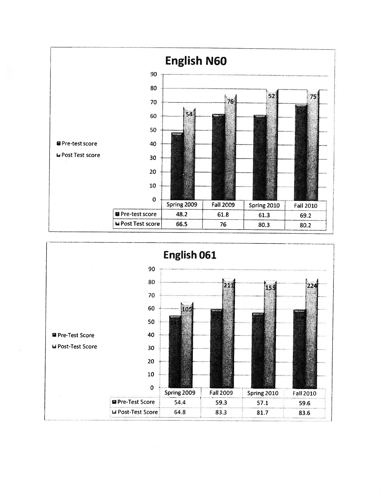

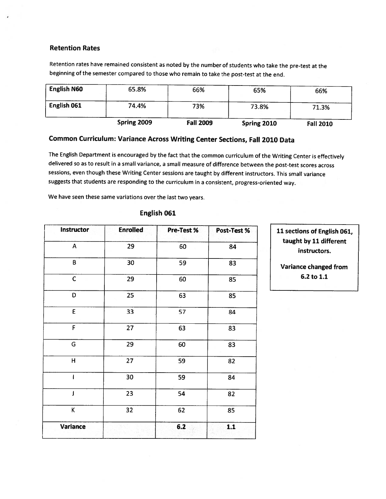#### **Retention Rates**

Retention rates have remained consistent as noted by the number of students who take the pre-test at the beginning of the semester compared to those who remain to take the post-test at the end.

|                    | Spring 2009 | <b>Fall 2009</b> | Spring 2010 | <b>Fall 2010</b> |
|--------------------|-------------|------------------|-------------|------------------|
| English 061        | 74.4%       | 73%              | 73.8%       | 71.3%            |
| <b>English N60</b> | 65.8%       | 66%              | 65%         | 66%              |

## Common Curriculum: Variance Across Writing Center Sections, Fall 2010 Data

The English Department is encouraged by the fact that the common curriculum of the Writing Center is effectively delivered so as to result in a small variance, a small measure of difference between the post-test scores across sessions, even though these Writing Center sessions are taught by different instructors. This small variance suggests that students are responding to the curriculum in a consistent, progress-oriented way.

We have seen these same variations over the last two years.

#### English 061

| Instructor                | <b>Enrolled</b> | Pre-Test % | Post-Test % |
|---------------------------|-----------------|------------|-------------|
| $\boldsymbol{\mathsf{A}}$ | 29              | 60         | 84          |
| B                         | 30              | 59         | 83          |
| $\mathsf{C}$              | 29              | 60         | 85          |
| D                         | 25              | 63         | 85          |
| E                         | 33              | 57         | 84          |
| F                         | 27              | 63         | 83          |
| G                         | 29              | 60         | 83          |
| H                         | 27              | 59         | 82          |
| I                         | 30              | 59         | 84          |
| J                         | 23              | 54         | 82          |
| K                         | 32              | 62         | 85          |
| Variance                  |                 | $6.2$      | $1.1$       |

11 sections of English 061, taught by 11 different instructors.

Variance changed from 6.2 to 1.1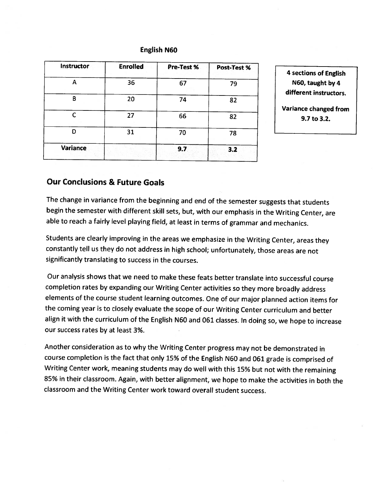#### **English N60**

| <b>Enrolled</b> | Pre-Test % | Post-Test % |
|-----------------|------------|-------------|
| 36              | 67         | 79          |
| 20              | 74         | 82          |
| 27              | 66         | 82          |
| 31              | 70         | 78          |
|                 | 9.7        | 3.2         |
|                 |            |             |

**4 sections of English** N60, taught by 4 different instructors.

Variance changed from  $9.7$  to  $3.2$ .

## **Our Conclusions & Future Goals**

The change in variance from the beginning and end of the semester suggests that students begin the semester with different skill sets, but, with our emphasis in the Writing Center, are able to reach a fairly level playing field, at least in terms of grammar and mechanics.

Students are clearly improving in the areas we emphasize in the Writing Center, areas they constantly tell us they do not address in high school; unfortunately, those areas are not significantly translating to success in the courses.

Our analysis shows that we need to make these feats better translate into successful course completion rates by expanding our Writing Center activities so they more broadly address elements of the course student learning outcomes. One of our major planned action items for the coming year is to closely evaluate the scope of our Writing Center curriculum and better align it with the curriculum of the English N60 and 061 classes. In doing so, we hope to increase our success rates by at least 3%.

Another consideration as to why the Writing Center progress may not be demonstrated in course completion is the fact that only 15% of the English N60 and 061 grade is comprised of Writing Center work, meaning students may do well with this 15% but not with the remaining 85% in their classroom. Again, with better alignment, we hope to make the activities in both the classroom and the Writing Center work toward overall student success.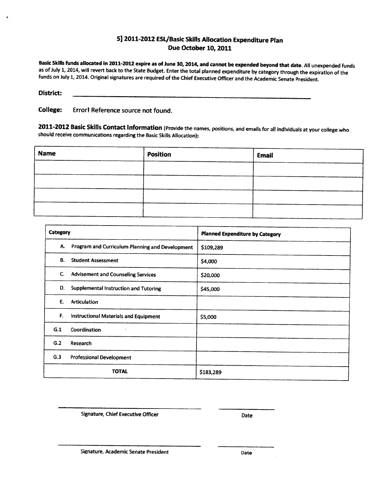#### 5] 2011-2012 ESL/Basic Skills Allocation Expenditure Plan Due October 10, 2011

Basic Skills funds allocated in 2011-2012 expire as of June 30, 2014, and cannot be expended beyond that date. All unexpended funds as of July 1, 2014, will revert back to the State Budget. Enter the total planned expenditure by category through the expiration of the funds on July 1, 2014. Original signatures are required of the Chief Executive Officer and the Academic Senate President.

## **District:**

**College:** Error! Reference source not found.

2011-2012 Basic Skills Contact Information (Provide the names, positions, and emails for all individuals at your college who should receive communications regarding the Basic Skills Allocation):

| <b>Name</b> | <b>Position</b> | Email |
|-------------|-----------------|-------|
|             |                 |       |
|             |                 |       |
|             |                 |       |
|             |                 |       |

| Category |                                                 | <b>Planned Expenditure by Category</b> |
|----------|-------------------------------------------------|----------------------------------------|
| А.       | Program and Curriculum Planning and Development | \$109,289                              |
| В.       | <b>Student Assessment</b>                       | \$4,000                                |
| C.       | <b>Advisement and Counseling Services</b>       | \$20,000                               |
| D.       | Supplemental Instruction and Tutoring           | \$45,000                               |
| E.       | <b>Articulation</b>                             |                                        |
| F.       | <b>Instructional Materials and Equipment</b>    | \$5,000                                |
| G.1      | Coordination                                    |                                        |
| G.2      | Research                                        |                                        |
| G.3      | <b>Professional Development</b>                 |                                        |
|          | <b>TOTAL</b>                                    | \$183,289                              |

Signature, Chief Executive Officer

Date

Signature, Academic Senate President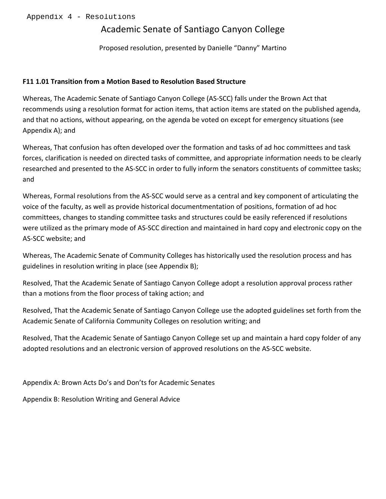## Academic Senate of Santiago Canyon College

Proposed resolution, presented by Danielle "Danny" Martino

## **F11 1.01 Transition from a Motion Based to Resolution Based Structure**

Whereas, The Academic Senate of Santiago Canyon College (AS-SCC) falls under the Brown Act that recommends using a resolution format for action items, that action items are stated on the published agenda, and that no actions, without appearing, on the agenda be voted on except for emergency situations (see Appendix A); and

Whereas, That confusion has often developed over the formation and tasks of ad hoc committees and task forces, clarification is needed on directed tasks of committee, and appropriate information needs to be clearly researched and presented to the AS-SCC in order to fully inform the senators constituents of committee tasks; and

Whereas, Formal resolutions from the AS-SCC would serve as a central and key component of articulating the voice of the faculty, as well as provide historical documentmentation of positions, formation of ad hoc committees, changes to standing committee tasks and structures could be easily referenced if resolutions were utilized as the primary mode of AS-SCC direction and maintained in hard copy and electronic copy on the AS-SCC website; and

Whereas, The Academic Senate of Community Colleges has historically used the resolution process and has guidelines in resolution writing in place (see Appendix B);

Resolved, That the Academic Senate of Santiago Canyon College adopt a resolution approval process rather than a motions from the floor process of taking action; and

Resolved, That the Academic Senate of Santiago Canyon College use the adopted guidelines set forth from the Academic Senate of California Community Colleges on resolution writing; and

Resolved, That the Academic Senate of Santiago Canyon College set up and maintain a hard copy folder of any adopted resolutions and an electronic version of approved resolutions on the AS-SCC website.

Appendix A: Brown Acts Do's and Don'ts for Academic Senates

Appendix B: Resolution Writing and General Advice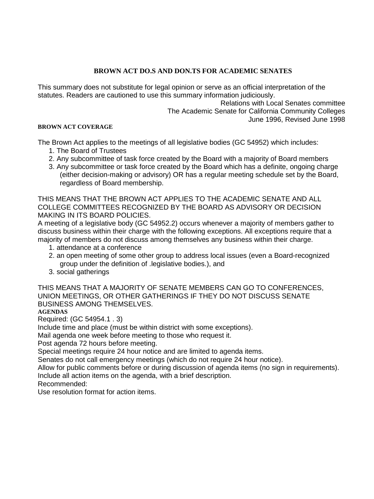## **BROWN ACT DO.S AND DON.TS FOR ACADEMIC SENATES**

This summary does not substitute for legal opinion or serve as an official interpretation of the statutes. Readers are cautioned to use this summary information judiciously.

Relations with Local Senates committee The Academic Senate for California Community Colleges June 1996, Revised June 1998

#### **BROWN ACT COVERAGE**

The Brown Act applies to the meetings of all legislative bodies (GC 54952) which includes:

- 1. The Board of Trustees
- 2. Any subcommittee of task force created by the Board with a majority of Board members
- 3. Any subcommittee or task force created by the Board which has a definite, ongoing charge (either decision-making or advisory) OR has a regular meeting schedule set by the Board, regardless of Board membership.

THIS MEANS THAT THE BROWN ACT APPLIES TO THE ACADEMIC SENATE AND ALL COLLEGE COMMITTEES RECOGNIZED BY THE BOARD AS ADVISORY OR DECISION MAKING IN ITS BOARD POLICIES.

A meeting of a legislative body (GC 54952.2) occurs whenever a majority of members gather to discuss business within their charge with the following exceptions. All exceptions require that a majority of members do not discuss among themselves any business within their charge.

- 1. attendance at a conference
- 2. an open meeting of some other group to address local issues (even a Board-recognized group under the definition of .legislative bodies.), and
- 3. social gatherings

THIS MEANS THAT A MAJORITY OF SENATE MEMBERS CAN GO TO CONFERENCES, UNION MEETINGS, OR OTHER GATHERINGS IF THEY DO NOT DISCUSS SENATE BUSINESS AMONG THEMSELVES.

## **AGENDAS**

Required: (GC 54954.1 . 3)

Include time and place (must be within district with some exceptions).

Mail agenda one week before meeting to those who request it.

Post agenda 72 hours before meeting.

Special meetings require 24 hour notice and are limited to agenda items.

Senates do not call emergency meetings (which do not require 24 hour notice).

Allow for public comments before or during discussion of agenda items (no sign in requirements). Include all action items on the agenda, with a brief description.

Recommended:

Use resolution format for action items.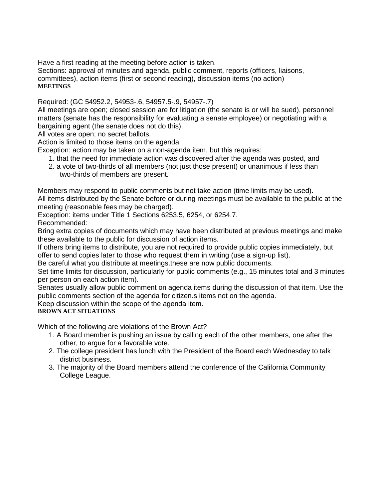Have a first reading at the meeting before action is taken.

Sections: approval of minutes and agenda, public comment, reports (officers, liaisons, committees), action items (first or second reading), discussion items (no action) **MEETINGS** 

Required: (GC 54952.2, 54953-.6, 54957.5-.9, 54957-.7)

All meetings are open; closed session are for litigation (the senate is or will be sued), personnel matters (senate has the responsibility for evaluating a senate employee) or negotiating with a bargaining agent (the senate does not do this).

All votes are open; no secret ballots.

Action is limited to those items on the agenda.

Exception: action may be taken on a non-agenda item, but this requires:

- 1. that the need for immediate action was discovered after the agenda was posted, and
- 2. a vote of two-thirds of all members (not just those present) or unanimous if less than two-thirds of members are present.

Members may respond to public comments but not take action (time limits may be used). All items distributed by the Senate before or during meetings must be available to the public at the meeting (reasonable fees may be charged).

Exception: items under Title 1 Sections 6253.5, 6254, or 6254.7. Recommended:

Bring extra copies of documents which may have been distributed at previous meetings and make these available to the public for discussion of action items.

If others bring items to distribute, you are not required to provide public copies immediately, but offer to send copies later to those who request them in writing (use a sign-up list).

Be careful what you distribute at meetings.these are now public documents.

Set time limits for discussion, particularly for public comments (e.g., 15 minutes total and 3 minutes per person on each action item).

Senates usually allow public comment on agenda items during the discussion of that item. Use the public comments section of the agenda for citizen.s items not on the agenda.

Keep discussion within the scope of the agenda item.

## **BROWN ACT SITUATIONS**

Which of the following are violations of the Brown Act?

- 1. A Board member is pushing an issue by calling each of the other members, one after the other, to argue for a favorable vote.
- 2. The college president has lunch with the President of the Board each Wednesday to talk district business.
- 3. The majority of the Board members attend the conference of the California Community College League.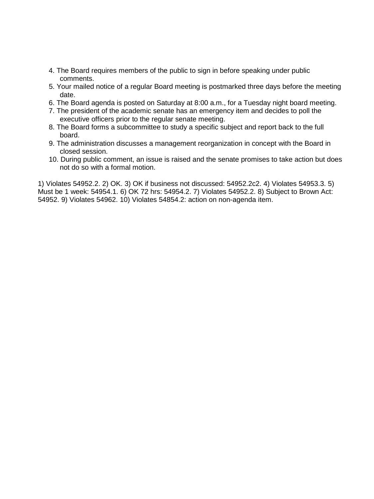- 4. The Board requires members of the public to sign in before speaking under public comments.
- 5. Your mailed notice of a regular Board meeting is postmarked three days before the meeting date.
- 6. The Board agenda is posted on Saturday at 8:00 a.m., for a Tuesday night board meeting.
- 7. The president of the academic senate has an emergency item and decides to poll the executive officers prior to the regular senate meeting.
- 8. The Board forms a subcommittee to study a specific subject and report back to the full board.
- 9. The administration discusses a management reorganization in concept with the Board in closed session.
- 10. During public comment, an issue is raised and the senate promises to take action but does not do so with a formal motion.

1) Violates 54952.2. 2) OK. 3) OK if business not discussed: 54952.2c2. 4) Violates 54953.3. 5) Must be 1 week: 54954.1. 6) OK 72 hrs: 54954.2. 7) Violates 54952.2. 8) Subject to Brown Act: 54952. 9) Violates 54962. 10) Violates 54854.2: action on non-agenda item.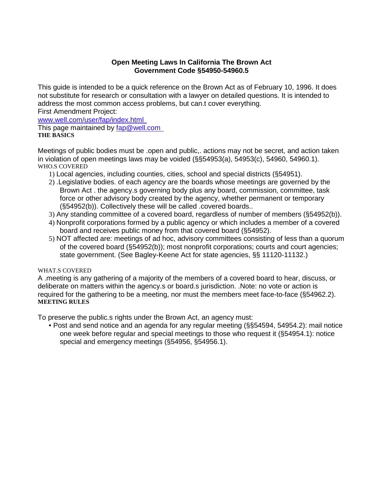### **Open Meeting Laws In California The Brown Act Government Code §54950-54960.5**

This guide is intended to be a quick reference on the Brown Act as of February 10, 1996. It does not substitute for research or consultation with a lawyer on detailed questions. It is intended to address the most common access problems, but can.t cover everything. First Amendment Project:

www.well.com/user/fap/index.html

This page maintained by <u>fap@well.com\_</u> **THE BASICS** 

Meetings of public bodies must be .open and public, actions may not be secret, and action taken in violation of open meetings laws may be voided (§§54953(a), 54953(c), 54960, 54960.1). WHO.S COVERED

- 1) Local agencies, including counties, cities, school and special districts (§54951).
- 2) .Legislative bodies. of each agency are the boards whose meetings are governed by the Brown Act . the agency.s governing body plus any board, commission, committee, task force or other advisory body created by the agency, whether permanent or temporary (§54952(b)). Collectively these will be called .covered boards..
- 3) Any standing committee of a covered board, regardless of number of members (§54952(b)).
- 4) Nonprofit corporations formed by a public agency or which includes a member of a covered board and receives public money from that covered board (§54952).
- 5) NOT affected are: meetings of ad hoc, advisory committees consisting of less than a quorum of the covered board (§54952(b)); most nonprofit corporations; courts and court agencies; state government. (See Bagley-Keene Act for state agencies, §§ 11120-11132.)

## WHAT S COVERED

A .meeting is any gathering of a majority of the members of a covered board to hear, discuss, or deliberate on matters within the agency.s or board.s jurisdiction. .Note: no vote or action is required for the gathering to be a meeting, nor must the members meet face-to-face (§54962.2). **MEETING RULES** 

To preserve the public.s rights under the Brown Act, an agency must:

• Post and send notice and an agenda for any regular meeting (§§54594, 54954.2): mail notice one week before regular and special meetings to those who request it (§54954.1): notice special and emergency meetings (§54956, §54956.1).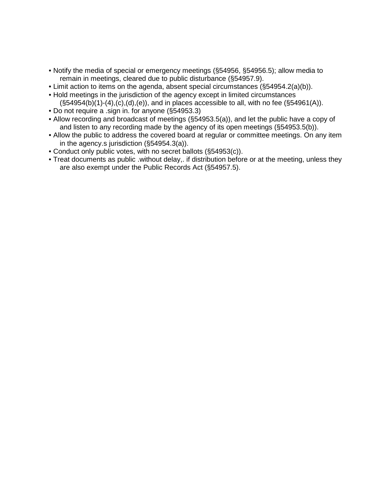- Notify the media of special or emergency meetings (§54956, §54956.5); allow media to remain in meetings, cleared due to public disturbance (§54957.9).
- Limit action to items on the agenda, absent special circumstances (§54954.2(a)(b)).
- Hold meetings in the jurisdiction of the agency except in limited circumstances  $(S54954(b)(1)-(4),(c),(d),(e))$ , and in places accessible to all, with no fee  $(S54961(A)).$
- Do not require a .sign in. for anyone (§54953.3)
- Allow recording and broadcast of meetings (§54953.5(a)), and let the public have a copy of and listen to any recording made by the agency of its open meetings (§54953.5(b)).
- Allow the public to address the covered board at regular or committee meetings. On any item in the agency.s jurisdiction (§54954.3(a)).
- Conduct only public votes, with no secret ballots (§54953(c)).
- Treat documents as public .without delay,. if distribution before or at the meeting, unless they are also exempt under the Public Records Act (§54957.5).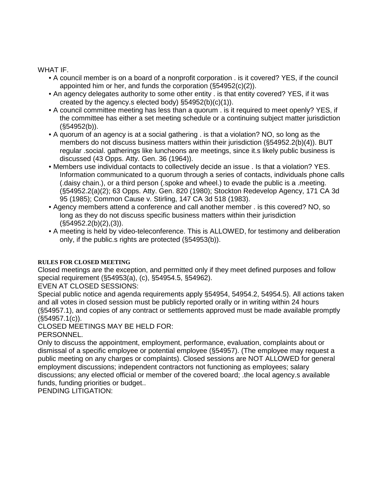## WHAT IF.

- A council member is on a board of a nonprofit corporation . is it covered? YES, if the council appointed him or her, and funds the corporation (§54952(c)(2)).
- An agency delegates authority to some other entity . is that entity covered? YES, if it was created by the agency.s elected body) §54952(b)(c)(1)).
- A council committee meeting has less than a quorum . is it required to meet openly? YES, if the committee has either a set meeting schedule or a continuing subject matter jurisdiction (§54952(b)).
- A quorum of an agency is at a social gathering . is that a violation? NO, so long as the members do not discuss business matters within their jurisdiction (§54952.2(b)(4)). BUT regular .social. gatherings like luncheons are meetings, since it.s likely public business is discussed (43 Opps. Atty. Gen. 36 (1964)).
- Members use individual contacts to collectively decide an issue . Is that a violation? YES. Information communicated to a quorum through a series of contacts, individuals phone calls (.daisy chain.), or a third person (.spoke and wheel.) to evade the public is a .meeting. (§54952.2(a)(2); 63 Opps. Atty. Gen. 820 (1980); Stockton Redevelop Agency, 171 CA 3d 95 (1985); Common Cause v. Stirling, 147 CA 3d 518 (1983).
- Agency members attend a conference and call another member . is this covered? NO, so long as they do not discuss specific business matters within their jurisdiction  $(S54952.2(b)(2), (3))$ .
- A meeting is held by video-teleconference. This is ALLOWED, for testimony and deliberation only, if the public.s rights are protected (§54953(b)).

## **RULES FOR CLOSED MEETING**

Closed meetings are the exception, and permitted only if they meet defined purposes and follow special requirement (§54953(a), (c), §54954.5, §54962).

## EVEN AT CLOSED SESSIONS:

Special public notice and agenda requirements apply §54954, 54954.2, 54954.5). All actions taken and all votes in closed session must be publicly reported orally or in writing within 24 hours (§54957.1), and copies of any contract or settlements approved must be made available promptly (§54957.1(c)).

## CLOSED MEETINGS MAY BE HELD FOR:

## PERSONNEL.

Only to discuss the appointment, employment, performance, evaluation, complaints about or dismissal of a specific employee or potential employee (§54957). (The employee may request a public meeting on any charges or complaints). Closed sessions are NOT ALLOWED for general employment discussions; independent contractors not functioning as employees; salary discussions; any elected official or member of the covered board; .the local agency.s available funds, funding priorities or budget..

PENDING LITIGATION: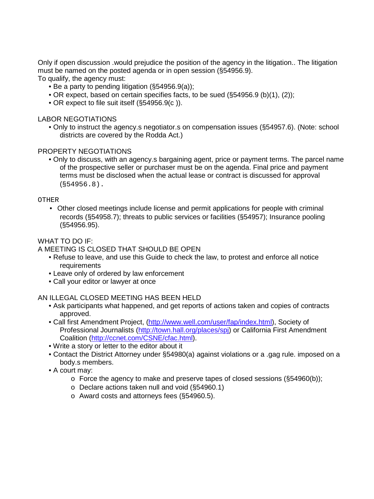Only if open discussion .would prejudice the position of the agency in the litigation.. The litigation must be named on the posted agenda or in open session (§54956.9). To qualify, the agency must:

- Be a party to pending litigation (§54956.9(a));
- OR expect, based on certain specifies facts, to be sued (§54956.9 (b)(1), (2));
- OR expect to file suit itself (§54956.9(c )).

### LABOR NEGOTIATIONS

• Only to instruct the agency.s negotiator.s on compensation issues (§54957.6). (Note: school districts are covered by the Rodda Act.)

## PROPERTY NEGOTIATIONS

• Only to discuss, with an agency.s bargaining agent, price or payment terms. The parcel name of the prospective seller or purchaser must be on the agenda. Final price and payment terms must be disclosed when the actual lease or contract is discussed for approval  $(S54956.8)$ .

#### OTHER

• Other closed meetings include license and permit applications for people with criminal records (§54958.7); threats to public services or facilities (§54957); Insurance pooling (§54956.95).

#### WHAT TO DO IF:

A MEETING IS CLOSED THAT SHOULD BE OPEN

- Refuse to leave, and use this Guide to check the law, to protest and enforce all notice **requirements**
- Leave only of ordered by law enforcement
- Call your editor or lawyer at once

#### AN ILLEGAL CLOSED MEETING HAS BEEN HELD

- Ask participants what happened, and get reports of actions taken and copies of contracts approved.
- Call first Amendment Project, (http://www.well.com/user/fap/index.html), Society of Professional Journalists (http://town.hall.org/places/spj) or California First Amendment Coalition (http://ccnet.com/CSNE/cfac.html).
- Write a story or letter to the editor about it
- Contact the District Attorney under §54980(a) against violations or a .gag rule. imposed on a body.s members.
- A court may:
	- $\circ$  Force the agency to make and preserve tapes of closed sessions (§54960(b));
	- o Declare actions taken null and void (§54960.1)
	- o Award costs and attorneys fees (§54960.5).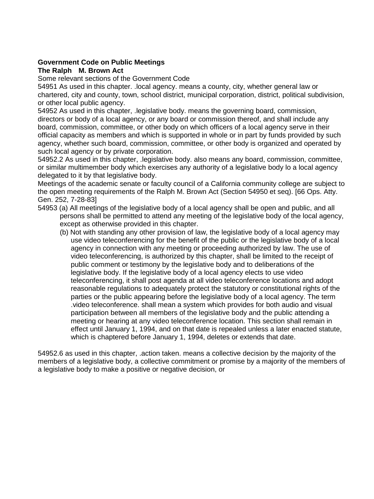## **Government Code on Public Meetings**

## **The Ralph M. Brown Act**

Some relevant sections of the Government Code

54951 As used in this chapter. .local agency. means a county, city, whether general law or chartered, city and county, town, school district, municipal corporation, district, political subdivision, or other local public agency.

54952 As used in this chapter, .legislative body. means the governing board, commission, directors or body of a local agency, or any board or commission thereof, and shall include any board, commission, committee, or other body on which officers of a local agency serve in their official capacity as members and which is supported in whole or in part by funds provided by such agency, whether such board, commission, committee, or other body is organized and operated by such local agency or by private corporation.

54952.2 As used in this chapter, .legislative body. also means any board, commission, committee, or similar multimember body which exercises any authority of a legislative body lo a local agency delegated to it by that legislative body.

Meetings of the academic senate or faculty council of a California community college are subject to the open meeting requirements of the Ralph M. Brown Act (Section 54950 et seq). [66 Ops. Atty. Gen. 252, 7-28-83]

- 54953 (a) All meetings of the legislative body of a local agency shall be open and public, and all persons shall be permitted to attend any meeting of the legislative body of the local agency, except as otherwise provided in this chapter.
	- (b) Not with standing any other provision of law, the legislative body of a local agency may use video teleconferencing for the benefit of the public or the legislative body of a local agency in connection with any meeting or proceeding authorized by law. The use of video teleconferencing, is authorized by this chapter, shall be limited to the receipt of public comment or testimony by the legislative body and to deliberations of the legislative body. If the legislative body of a local agency elects to use video teleconferencing, it shall post agenda at all video teleconference locations and adopt reasonable regulations to adequately protect the statutory or constitutional rights of the parties or the public appearing before the legislative body of a local agency. The term .video teleconference. shall mean a system which provides for both audio and visual participation between all members of the legislative body and the public attending a meeting or hearing at any video teleconference location. This section shall remain in effect until January 1, 1994, and on that date is repealed unless a later enacted statute, which is chaptered before January 1, 1994, deletes or extends that date.

54952.6 as used in this chapter, .action taken. means a collective decision by the majority of the members of a legislative body, a collective commitment or promise by a majority of the members of a legislative body to make a positive or negative decision, or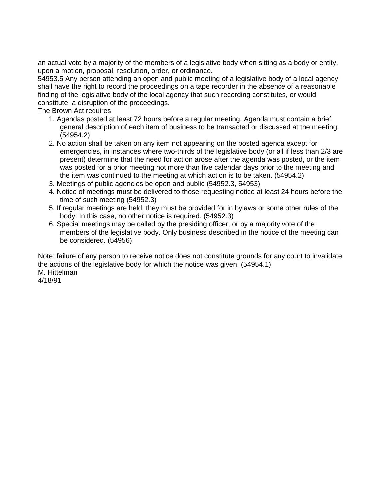an actual vote by a majority of the members of a legislative body when sitting as a body or entity, upon a motion, proposal, resolution, order, or ordinance.

54953.5 Any person attending an open and public meeting of a legislative body of a local agency shall have the right to record the proceedings on a tape recorder in the absence of a reasonable finding of the legislative body of the local agency that such recording constitutes, or would constitute, a disruption of the proceedings.

The Brown Act requires

- 1. Agendas posted at least 72 hours before a regular meeting. Agenda must contain a brief general description of each item of business to be transacted or discussed at the meeting. (54954.2)
- 2. No action shall be taken on any item not appearing on the posted agenda except for emergencies, in instances where two-thirds of the legislative body (or all if less than 2/3 are present) determine that the need for action arose after the agenda was posted, or the item was posted for a prior meeting not more than five calendar days prior to the meeting and the item was continued to the meeting at which action is to be taken. (54954.2)
- 3. Meetings of public agencies be open and public (54952.3, 54953)
- 4. Notice of meetings must be delivered to those requesting notice at least 24 hours before the time of such meeting (54952.3)
- 5. If regular meetings are held, they must be provided for in bylaws or some other rules of the body. In this case, no other notice is required. (54952.3)
- 6. Special meetings may be called by the presiding officer, or by a majority vote of the members of the legislative body. Only business described in the notice of the meeting can be considered. (54956)

Note: failure of any person to receive notice does not constitute grounds for any court to invalidate the actions of the legislative body for which the notice was given. (54954.1) M. Hittelman 4/18/91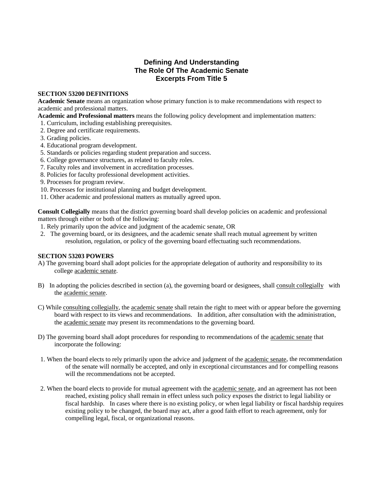#### **Defining And Understanding The Role Of The Academic Senate Excerpts From Title 5**

#### **SECTION 53200 DEFINITIONS**

**Academic Senate** means an organization whose primary function is to make recommendations with respect to academic and professional matters.

**Academic and Professional matters** means the following policy development and implementation matters:

- 1. Curriculum, including establishing prerequisites.
- 2. Degree and certificate requirements.
- 3. Grading policies.
- 4. Educational program development.
- 5. Standards or policies regarding student preparation and success.
- 6. College governance structures, as related to faculty roles.
- 7. Faculty roles and involvement in accreditation processes.
- 8. Policies for faculty professional development activities.
- 9. Processes for program review.
- 10. Processes for institutional planning and budget development.
- 11. Other academic and professional matters as mutually agreed upon.

**Consult Collegially** means that the district governing board shall develop policies on academic and professional matters through either or both of the following:

- 1. Rely primarily upon the advice and judgment of the academic senate, OR
- 2. The governing board, or its designees, and the academic senate shall reach mutual agreement by written resolution, regulation, or policy of the governing board effectuating such recommendations.

#### **SECTION 53203 POWERS**

- A) The governing board shall adopt policies for the appropriate delegation of authority and responsibility to its college academic senate.
- B) In adopting the policies described in section (a), the governing board or designees, shall consult collegially with the academic senate.
- C) While consulting collegially, the academic senate shall retain the right to meet with or appear before the governing board with respect to its views and recommendations. In addition, after consultation with the administration, the academic senate may present its recommendations to the governing board.
- D) The governing board shall adopt procedures for responding to recommendations of the academic senate that incorporate the following:
- 1. When the board elects to rely primarily upon the advice and judgment of the academic senate, the recommendation of the senate will normally be accepted, and only in exceptional circumstances and for compelling reasons will the recommendations not be accepted.
- 2. When the board elects to provide for mutual agreement with the academic senate, and an agreement has not been reached, existing policy shall remain in effect unless such policy exposes the district to legal liability or fiscal hardship. In cases where there is no existing policy, or when legal liability or fiscal hardship requires existing policy to be changed, the board may act, after a good faith effort to reach agreement, only for compelling legal, fiscal, or organizational reasons.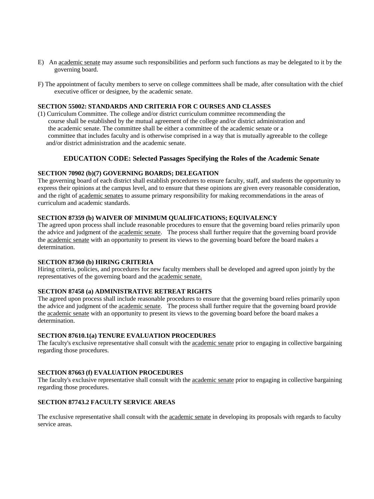- E) An academic senate may assume such responsibilities and perform such functions as may be delegated to it by the governing board.
- F) The appointment of faculty members to serve on college committees shall be made, after consultation with the chief executive officer or designee, by the academic senate.

#### **SECTION 55002: STANDARDS AND CRITERIA FOR C OURSES AND CLASSES**

(1) Curriculum Committee. The college and/or district curriculum committee recommending the course shall be established by the mutual agreement of the college and/or district administration and the academic senate. The committee shall be either a committee of the academic senate or a committee that includes faculty and is otherwise comprised in a way that is mutually agreeable to the college and/or district administration and the academic senate.

#### **EDUCATION CODE: Selected Passages Specifying the Roles of the Academic Senate**

#### **SECTION 70902 (b)(7) GOVERNING BOARDS; DELEGATION**

The governing board of each district shall establish procedures to ensure faculty, staff, and students the opportunity to express their opinions at the campus level, and to ensure that these opinions are given every reasonable consideration, and the right of academic senates to assume primary responsibility for making recommendations in the areas of curriculum and academic standards.

#### **SECTION 87359 (b) WAIVER OF MINIMUM QUALIFICATIONS; EQUIVALENCY**

The agreed upon process shall include reasonable procedures to ensure that the governing board relies primarily upon the advice and judgment of the academic senate. The process shall further require that the governing board provide the academic senate with an opportunity to present its views to the governing board before the board makes a determination.

#### **SECTION 87360 (b) HIRING CRITERIA**

Hiring criteria, policies, and procedures for new faculty members shall be developed and agreed upon jointly by the representatives of the governing board and the academic senate.

#### **SECTION 87458 (a) ADMINISTRATIVE RETREAT RIGHTS**

The agreed upon process shall include reasonable procedures to ensure that the governing board relies primarily upon the advice and judgment of the academic senate. The process shall further require that the governing board provide the academic senate with an opportunity to present its views to the governing board before the board makes a determination.

#### **SECTION 87610.1(a) TENURE EVALUATION PROCEDURES**

The faculty's exclusive representative shall consult with the academic senate prior to engaging in collective bargaining regarding those procedures.

#### **SECTION 87663 (f) EVALUATION PROCEDURES**

The faculty's exclusive representative shall consult with the academic senate prior to engaging in collective bargaining regarding those procedures.

#### **SECTION 87743.2 FACULTY SERVICE AREAS**

The exclusive representative shall consult with the academic senate in developing its proposals with regards to faculty service areas.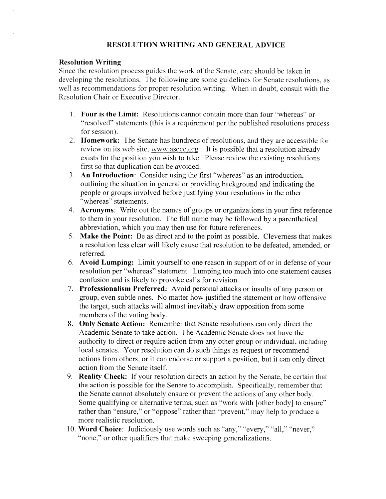## **RESOLUTION WRITING AND GENERAL ADVICE**

#### **Resolution Writing**

Since the resolution process guides the work of the Senate, care should be taken in developing the resolutions. The following are some guidelines for Senate resolutions, as well as recommendations for proper resolution writing. When in doubt, consult with the Resolution Chair or Executive Director.

- 1. Four is the Limit: Resolutions cannot contain more than four "whereas" or "resolved" statements (this is a requirement per the published resolutions process for session).
- 2. Homework: The Senate has hundreds of resolutions, and they are accessible for review on its web site, www.asccc.org. It is possible that a resolution already exists for the position you wish to take. Please review the existing resolutions first so that duplication can be avoided.
- 3. An Introduction: Consider using the first "whereas" as an introduction, outlining the situation in general or providing background and indicating the people or groups involved before justifying your resolutions in the other "whereas" statements.
- 4. Acronyms: Write out the names of groups or organizations in your first reference to them in your resolution. The full name may be followed by a parenthetical abbreviation, which you may then use for future references.
- 5. Make the Point: Be as direct and to the point as possible. Cleverness that makes a resolution less clear will likely cause that resolution to be defeated, amended, or referred.
- 6. Avoid Lumping: Limit yourself to one reason in support of or in defense of your resolution per "whereas" statement. Lumping too much into one statement causes confusion and is likely to provoke calls for revision.
- 7. Professionalism Preferred: Avoid personal attacks or insults of any person or group, even subtle ones. No matter how justified the statement or how offensive the target, such attacks will almost inevitably draw opposition from some members of the voting body.
- 8. Only Senate Action: Remember that Senate resolutions can only direct the Academic Senate to take action. The Academic Senate does not have the authority to direct or require action from any other group or individual, including local senates. Your resolution can do such things as request or recommend actions from others, or it can endorse or support a position, but it can only direct action from the Senate itself.
- 9. Reality Check: If your resolution directs an action by the Senate, be certain that the action is possible for the Senate to accomplish. Specifically, remember that the Senate cannot absolutely ensure or prevent the actions of any other body. Some qualifying or alternative terms, such as "work with [other body] to ensure" rather than "ensure," or "oppose" rather than "prevent," may help to produce a more realistic resolution.
- 10. Word Choice: Judiciously use words such as "any," "every," "all," "never," "none," or other qualifiers that make sweeping generalizations.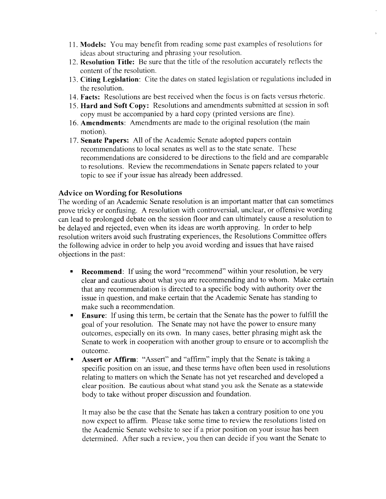- 11. Models: You may benefit from reading some past examples of resolutions for ideas about structuring and phrasing your resolution.
- 12. Resolution Title: Be sure that the title of the resolution accurately reflects the content of the resolution.
- 13. Citing Legislation: Cite the dates on stated legislation or regulations included in the resolution.
- 14. Facts: Resolutions are best received when the focus is on facts versus rhetoric.
- 15. Hard and Soft Copy: Resolutions and amendments submitted at session in soft copy must be accompanied by a hard copy (printed versions are fine).
- 16. Amendments: Amendments are made to the original resolution (the main motion).
- 17. Senate Papers: All of the Academic Senate adopted papers contain recommendations to local senates as well as to the state senate. These recommendations are considered to be directions to the field and are comparable to resolutions. Review the recommendations in Senate papers related to your topic to see if your issue has already been addressed.

#### **Advice on Wording for Resolutions**

The wording of an Academic Senate resolution is an important matter that can sometimes prove tricky or confusing. A resolution with controversial, unclear, or offensive wording can lead to prolonged debate on the session floor and can ultimately cause a resolution to be delayed and rejected, even when its ideas are worth approving. In order to help resolution writers avoid such frustrating experiences, the Resolutions Committee offers the following advice in order to help you avoid wording and issues that have raised objections in the past:

- **Recommend:** If using the word "recommend" within your resolution, be very  $\blacksquare$ clear and cautious about what you are recommending and to whom. Make certain that any recommendation is directed to a specific body with authority over the issue in question, and make certain that the Academic Senate has standing to make such a recommendation.
- **Ensure:** If using this term, be certain that the Senate has the power to fulfill the  $\bullet$ goal of your resolution. The Senate may not have the power to ensure many outcomes, especially on its own. In many cases, better phrasing might ask the Senate to work in cooperation with another group to ensure or to accomplish the outcome.
- Assert or Affirm: "Assert" and "affirm" imply that the Senate is taking a specific position on an issue, and these terms have often been used in resolutions relating to matters on which the Senate has not yet researched and developed a clear position. Be cautious about what stand you ask the Senate as a statewide body to take without proper discussion and foundation.

It may also be the case that the Senate has taken a contrary position to one you now expect to affirm. Please take some time to review the resolutions listed on the Academic Senate website to see if a prior position on your issue has been determined. After such a review, you then can decide if you want the Senate to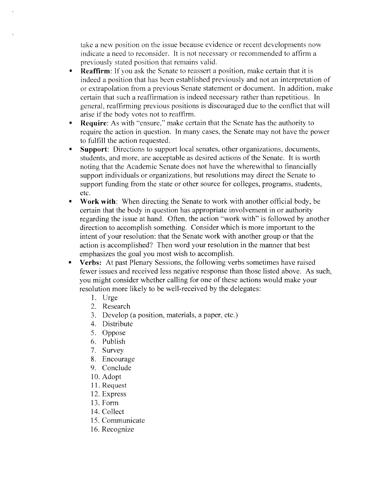take a new position on the issue because evidence or recent developments now indicate a need to reconsider. It is not necessary or recommended to affirm a previously stated position that remains valid.

- Reaffirm: If you ask the Senate to reassert a position, make certain that it is  $\blacksquare$ indeed a position that has been established previously and not an interpretation of or extrapolation from a previous Senate statement or document. In addition, make certain that such a reaffirmation is indeed necessary rather than repetitious. In general, reaffirming previous positions is discouraged due to the conflict that will arise if the body votes not to reaffirm.
- Require: As with "ensure," make certain that the Senate has the authority to  $\blacksquare$ require the action in question. In many cases, the Senate may not have the power to fulfill the action requested.
- **Support:** Directions to support local senates, other organizations, documents,  $\blacksquare$ students, and more, are acceptable as desired actions of the Senate. It is worth noting that the Academic Senate does not have the wherewithal to financially support individuals or organizations, but resolutions may direct the Senate to support funding from the state or other source for colleges, programs, students, etc.
- Work with: When directing the Senate to work with another official body, be  $\blacksquare$ certain that the body in question has appropriate involvement in or authority regarding the issue at hand. Often, the action "work with" is followed by another direction to accomplish something. Consider which is more important to the intent of your resolution: that the Senate work with another group or that the action is accomplished? Then word your resolution in the manner that best emphasizes the goal you most wish to accomplish.
- Verbs: At past Plenary Sessions, the following verbs sometimes have raised fewer issues and received less negative response than those listed above. As such, you might consider whether calling for one of these actions would make your resolution more likely to be well-received by the delegates:
	- 1. Urge
	- 2. Research
	- 3. Develop (a position, materials, a paper, etc.)
	- 4. Distribute
	- 5. Oppose
	- 6. Publish
	- 7. Survey
	- 8. Encourage
	- 9. Conclude
	- 10. Adopt
	- 11. Request
	- 12. Express
	- 13. Form
	- 14. Collect
	- 15. Communicate
	- 16. Recognize